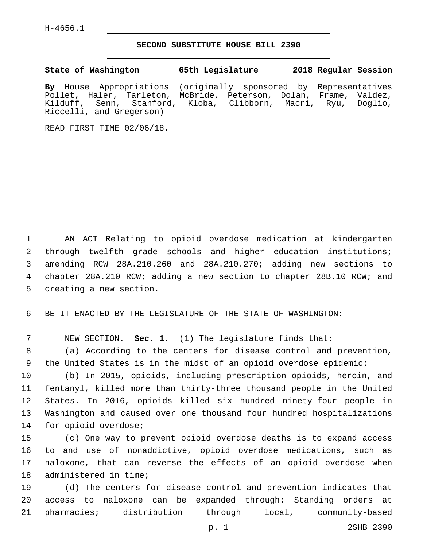H-4656.1

## **SECOND SUBSTITUTE HOUSE BILL 2390**

**State of Washington 65th Legislature 2018 Regular Session By** House Appropriations (originally sponsored by Representatives Pollet, Haler, Tarleton, McBride, Peterson, Dolan, Frame, Valdez, Kilduff, Senn, Stanford, Kloba, Clibborn, Macri, Ryu, Doglio, Riccelli, and Gregerson)

READ FIRST TIME 02/06/18.

 AN ACT Relating to opioid overdose medication at kindergarten through twelfth grade schools and higher education institutions; amending RCW 28A.210.260 and 28A.210.270; adding new sections to chapter 28A.210 RCW; adding a new section to chapter 28B.10 RCW; and 5 creating a new section.

6 BE IT ENACTED BY THE LEGISLATURE OF THE STATE OF WASHINGTON:

7 NEW SECTION. **Sec. 1.** (1) The legislature finds that:

8 (a) According to the centers for disease control and prevention, 9 the United States is in the midst of an opioid overdose epidemic;

 (b) In 2015, opioids, including prescription opioids, heroin, and fentanyl, killed more than thirty-three thousand people in the United States. In 2016, opioids killed six hundred ninety-four people in Washington and caused over one thousand four hundred hospitalizations 14 for opioid overdose;

 (c) One way to prevent opioid overdose deaths is to expand access to and use of nonaddictive, opioid overdose medications, such as naloxone, that can reverse the effects of an opioid overdose when 18 administered in time;

19 (d) The centers for disease control and prevention indicates that 20 access to naloxone can be expanded through: Standing orders at 21 pharmacies; distribution through local, community-based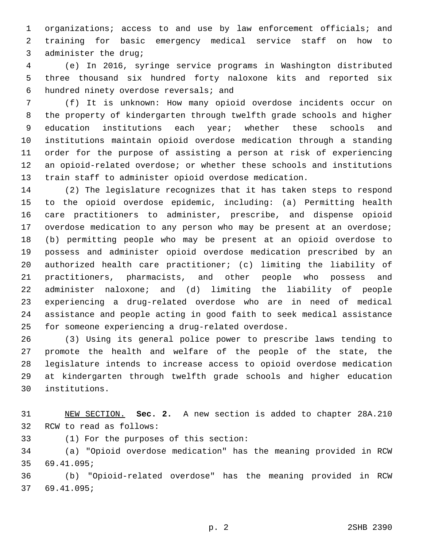organizations; access to and use by law enforcement officials; and training for basic emergency medical service staff on how to 3 administer the drug;

 (e) In 2016, syringe service programs in Washington distributed three thousand six hundred forty naloxone kits and reported six hundred ninety overdose reversals; and6

 (f) It is unknown: How many opioid overdose incidents occur on the property of kindergarten through twelfth grade schools and higher 9 education institutions each year; whether these schools and institutions maintain opioid overdose medication through a standing order for the purpose of assisting a person at risk of experiencing an opioid-related overdose; or whether these schools and institutions train staff to administer opioid overdose medication.

 (2) The legislature recognizes that it has taken steps to respond to the opioid overdose epidemic, including: (a) Permitting health care practitioners to administer, prescribe, and dispense opioid overdose medication to any person who may be present at an overdose; (b) permitting people who may be present at an opioid overdose to possess and administer opioid overdose medication prescribed by an authorized health care practitioner; (c) limiting the liability of practitioners, pharmacists, and other people who possess and administer naloxone; and (d) limiting the liability of people experiencing a drug-related overdose who are in need of medical assistance and people acting in good faith to seek medical assistance 15 for someone experiencing a drug-related overdose.

 (3) Using its general police power to prescribe laws tending to promote the health and welfare of the people of the state, the legislature intends to increase access to opioid overdose medication at kindergarten through twelfth grade schools and higher education institutions.30

 NEW SECTION. **Sec. 2.** A new section is added to chapter 28A.210 32 RCW to read as follows:

33 (1) For the purposes of this section:

 (a) "Opioid overdose medication" has the meaning provided in RCW 35 69.41.095;

 (b) "Opioid-related overdose" has the meaning provided in RCW 69.41.095;37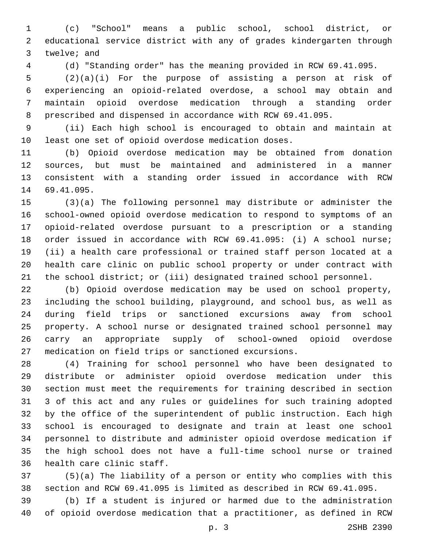(c) "School" means a public school, school district, or educational service district with any of grades kindergarten through 3 twelve; and

(d) "Standing order" has the meaning provided in RCW 69.41.095.

 (2)(a)(i) For the purpose of assisting a person at risk of experiencing an opioid-related overdose, a school may obtain and maintain opioid overdose medication through a standing order prescribed and dispensed in accordance with RCW 69.41.095.

 (ii) Each high school is encouraged to obtain and maintain at least one set of opioid overdose medication doses.

 (b) Opioid overdose medication may be obtained from donation sources, but must be maintained and administered in a manner consistent with a standing order issued in accordance with RCW 14 69.41.095.

 (3)(a) The following personnel may distribute or administer the school-owned opioid overdose medication to respond to symptoms of an opioid-related overdose pursuant to a prescription or a standing order issued in accordance with RCW 69.41.095: (i) A school nurse; (ii) a health care professional or trained staff person located at a health care clinic on public school property or under contract with the school district; or (iii) designated trained school personnel.

 (b) Opioid overdose medication may be used on school property, including the school building, playground, and school bus, as well as during field trips or sanctioned excursions away from school property. A school nurse or designated trained school personnel may carry an appropriate supply of school-owned opioid overdose medication on field trips or sanctioned excursions.

 (4) Training for school personnel who have been designated to distribute or administer opioid overdose medication under this section must meet the requirements for training described in section 3 of this act and any rules or guidelines for such training adopted by the office of the superintendent of public instruction. Each high school is encouraged to designate and train at least one school personnel to distribute and administer opioid overdose medication if the high school does not have a full-time school nurse or trained 36 health care clinic staff.

 (5)(a) The liability of a person or entity who complies with this section and RCW 69.41.095 is limited as described in RCW 69.41.095.

 (b) If a student is injured or harmed due to the administration of opioid overdose medication that a practitioner, as defined in RCW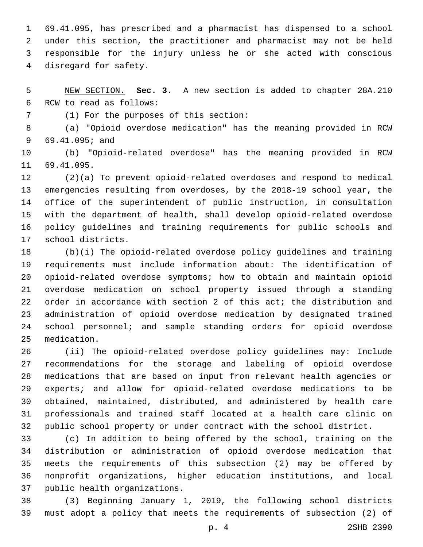69.41.095, has prescribed and a pharmacist has dispensed to a school under this section, the practitioner and pharmacist may not be held responsible for the injury unless he or she acted with conscious 4 disregard for safety.

 NEW SECTION. **Sec. 3.** A new section is added to chapter 28A.210 6 RCW to read as follows:

(1) For the purposes of this section:7

 (a) "Opioid overdose medication" has the meaning provided in RCW 69.41.095; and9

 (b) "Opioid-related overdose" has the meaning provided in RCW 11 69.41.095.

 (2)(a) To prevent opioid-related overdoses and respond to medical emergencies resulting from overdoses, by the 2018-19 school year, the office of the superintendent of public instruction, in consultation with the department of health, shall develop opioid-related overdose policy guidelines and training requirements for public schools and 17 school districts.

 (b)(i) The opioid-related overdose policy guidelines and training requirements must include information about: The identification of opioid-related overdose symptoms; how to obtain and maintain opioid overdose medication on school property issued through a standing order in accordance with section 2 of this act; the distribution and administration of opioid overdose medication by designated trained school personnel; and sample standing orders for opioid overdose 25 medication.

 (ii) The opioid-related overdose policy guidelines may: Include recommendations for the storage and labeling of opioid overdose medications that are based on input from relevant health agencies or experts; and allow for opioid-related overdose medications to be obtained, maintained, distributed, and administered by health care professionals and trained staff located at a health care clinic on public school property or under contract with the school district.

 (c) In addition to being offered by the school, training on the distribution or administration of opioid overdose medication that meets the requirements of this subsection (2) may be offered by nonprofit organizations, higher education institutions, and local 37 public health organizations.

 (3) Beginning January 1, 2019, the following school districts must adopt a policy that meets the requirements of subsection (2) of

p. 4 2SHB 2390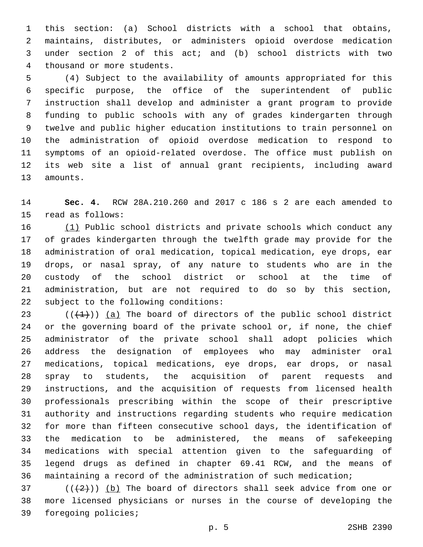this section: (a) School districts with a school that obtains, maintains, distributes, or administers opioid overdose medication under section 2 of this act; and (b) school districts with two 4 thousand or more students.

 (4) Subject to the availability of amounts appropriated for this specific purpose, the office of the superintendent of public instruction shall develop and administer a grant program to provide funding to public schools with any of grades kindergarten through twelve and public higher education institutions to train personnel on the administration of opioid overdose medication to respond to symptoms of an opioid-related overdose. The office must publish on its web site a list of annual grant recipients, including award 13 amounts.

 **Sec. 4.** RCW 28A.210.260 and 2017 c 186 s 2 are each amended to 15 read as follows:

 (1) Public school districts and private schools which conduct any of grades kindergarten through the twelfth grade may provide for the administration of oral medication, topical medication, eye drops, ear drops, or nasal spray, of any nature to students who are in the custody of the school district or school at the time of administration, but are not required to do so by this section, 22 subject to the following conditions:

 $(1)(1)$ ) (a) The board of directors of the public school district or the governing board of the private school or, if none, the chief administrator of the private school shall adopt policies which address the designation of employees who may administer oral medications, topical medications, eye drops, ear drops, or nasal spray to students, the acquisition of parent requests and instructions, and the acquisition of requests from licensed health professionals prescribing within the scope of their prescriptive authority and instructions regarding students who require medication for more than fifteen consecutive school days, the identification of the medication to be administered, the means of safekeeping medications with special attention given to the safeguarding of legend drugs as defined in chapter 69.41 RCW, and the means of maintaining a record of the administration of such medication;

 $(1+2)$ ) (b) The board of directors shall seek advice from one or more licensed physicians or nurses in the course of developing the 39 foregoing policies;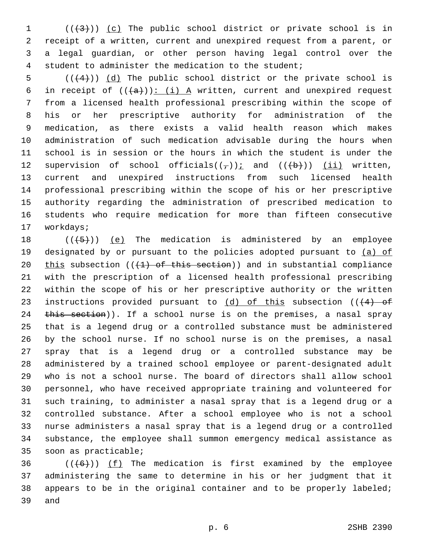$((+3+))$   $(c)$  The public school district or private school is in receipt of a written, current and unexpired request from a parent, or a legal guardian, or other person having legal control over the student to administer the medication to the student;

 $((+4))$   $(d)$  The public school district or the private school is 6 in receipt of  $((+a))$ : (i) A written, current and unexpired request from a licensed health professional prescribing within the scope of his or her prescriptive authority for administration of the medication, as there exists a valid health reason which makes administration of such medication advisable during the hours when school is in session or the hours in which the student is under the 12 supervision of school officials( $(\tau)$ ); and ( $(\overline{b})$ ) (ii) written, current and unexpired instructions from such licensed health professional prescribing within the scope of his or her prescriptive authority regarding the administration of prescribed medication to students who require medication for more than fifteen consecutive 17 workdays;

 $((+5+))$  (e) The medication is administered by an employee 19 designated by or pursuant to the policies adopted pursuant to (a) of 20 this subsection  $((1)$  of this section)) and in substantial compliance with the prescription of a licensed health professional prescribing within the scope of his or her prescriptive authority or the written 23 instructions provided pursuant to  $(d)$  of this subsection  $((4)$  of 24 this section)). If a school nurse is on the premises, a nasal spray that is a legend drug or a controlled substance must be administered by the school nurse. If no school nurse is on the premises, a nasal spray that is a legend drug or a controlled substance may be administered by a trained school employee or parent-designated adult who is not a school nurse. The board of directors shall allow school personnel, who have received appropriate training and volunteered for such training, to administer a nasal spray that is a legend drug or a controlled substance. After a school employee who is not a school nurse administers a nasal spray that is a legend drug or a controlled substance, the employee shall summon emergency medical assistance as 35 soon as practicable;

 $((+6+))$  (f) The medication is first examined by the employee administering the same to determine in his or her judgment that it appears to be in the original container and to be properly labeled; 39 and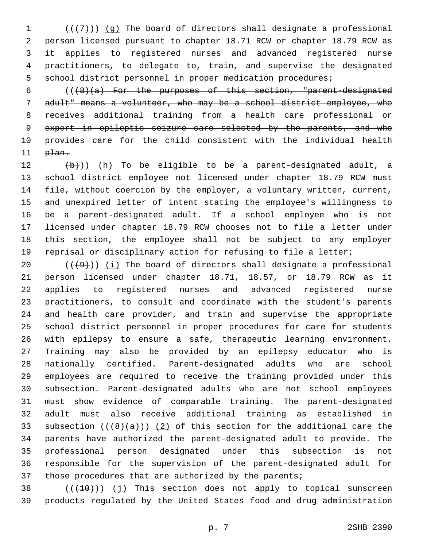$((+7))$  (g) The board of directors shall designate a professional person licensed pursuant to chapter 18.71 RCW or chapter 18.79 RCW as it applies to registered nurses and advanced registered nurse practitioners, to delegate to, train, and supervise the designated school district personnel in proper medication procedures;

 $((\frac{1}{8})(a)$  For the purposes of this section, "parent-designated adult" means a volunteer, who may be a school district employee, who receives additional training from a health care professional or expert in epileptic seizure care selected by the parents, and who provides care for the child consistent with the individual health plan.

 $(b)$ )) (h) To be eligible to be a parent-designated adult, a school district employee not licensed under chapter 18.79 RCW must file, without coercion by the employer, a voluntary written, current, and unexpired letter of intent stating the employee's willingness to be a parent-designated adult. If a school employee who is not licensed under chapter 18.79 RCW chooses not to file a letter under this section, the employee shall not be subject to any employer reprisal or disciplinary action for refusing to file a letter;

 $((+9+))$  (i) The board of directors shall designate a professional person licensed under chapter 18.71, 18.57, or 18.79 RCW as it applies to registered nurses and advanced registered nurse practitioners, to consult and coordinate with the student's parents and health care provider, and train and supervise the appropriate school district personnel in proper procedures for care for students with epilepsy to ensure a safe, therapeutic learning environment. Training may also be provided by an epilepsy educator who is nationally certified. Parent-designated adults who are school employees are required to receive the training provided under this subsection. Parent-designated adults who are not school employees must show evidence of comparable training. The parent-designated adult must also receive additional training as established in 33 subsection  $((+8)(a))$   $(2)$  of this section for the additional care the parents have authorized the parent-designated adult to provide. The professional person designated under this subsection is not responsible for the supervision of the parent-designated adult for 37 those procedures that are authorized by the parents;

38  $((+10))$  (j) This section does not apply to topical sunscreen products regulated by the United States food and drug administration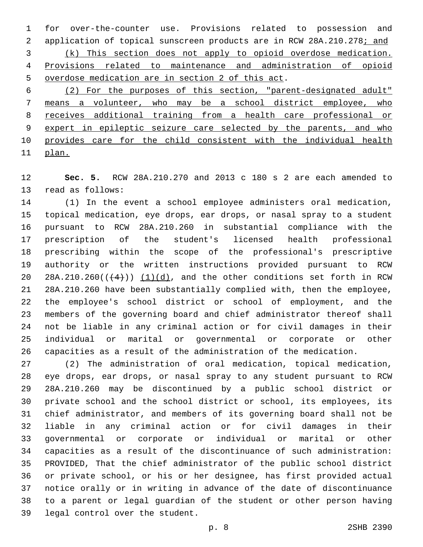for over-the-counter use. Provisions related to possession and 2 application of topical sunscreen products are in RCW 28A.210.278; and (k) This section does not apply to opioid overdose medication. Provisions related to maintenance and administration of opioid 5 overdose medication are in section 2 of this act.

 (2) For the purposes of this section, "parent-designated adult" means a volunteer, who may be a school district employee, who receives additional training from a health care professional or expert in epileptic seizure care selected by the parents, and who provides care for the child consistent with the individual health plan.

 **Sec. 5.** RCW 28A.210.270 and 2013 c 180 s 2 are each amended to 13 read as follows:

 (1) In the event a school employee administers oral medication, topical medication, eye drops, ear drops, or nasal spray to a student pursuant to RCW 28A.210.260 in substantial compliance with the prescription of the student's licensed health professional prescribing within the scope of the professional's prescriptive authority or the written instructions provided pursuant to RCW 20 28A.210.260 $((+4))$   $(1)(d)$ , and the other conditions set forth in RCW 28A.210.260 have been substantially complied with, then the employee, the employee's school district or school of employment, and the members of the governing board and chief administrator thereof shall not be liable in any criminal action or for civil damages in their individual or marital or governmental or corporate or other capacities as a result of the administration of the medication.

 (2) The administration of oral medication, topical medication, eye drops, ear drops, or nasal spray to any student pursuant to RCW 28A.210.260 may be discontinued by a public school district or private school and the school district or school, its employees, its chief administrator, and members of its governing board shall not be liable in any criminal action or for civil damages in their governmental or corporate or individual or marital or other capacities as a result of the discontinuance of such administration: PROVIDED, That the chief administrator of the public school district or private school, or his or her designee, has first provided actual notice orally or in writing in advance of the date of discontinuance to a parent or legal guardian of the student or other person having 39 legal control over the student.